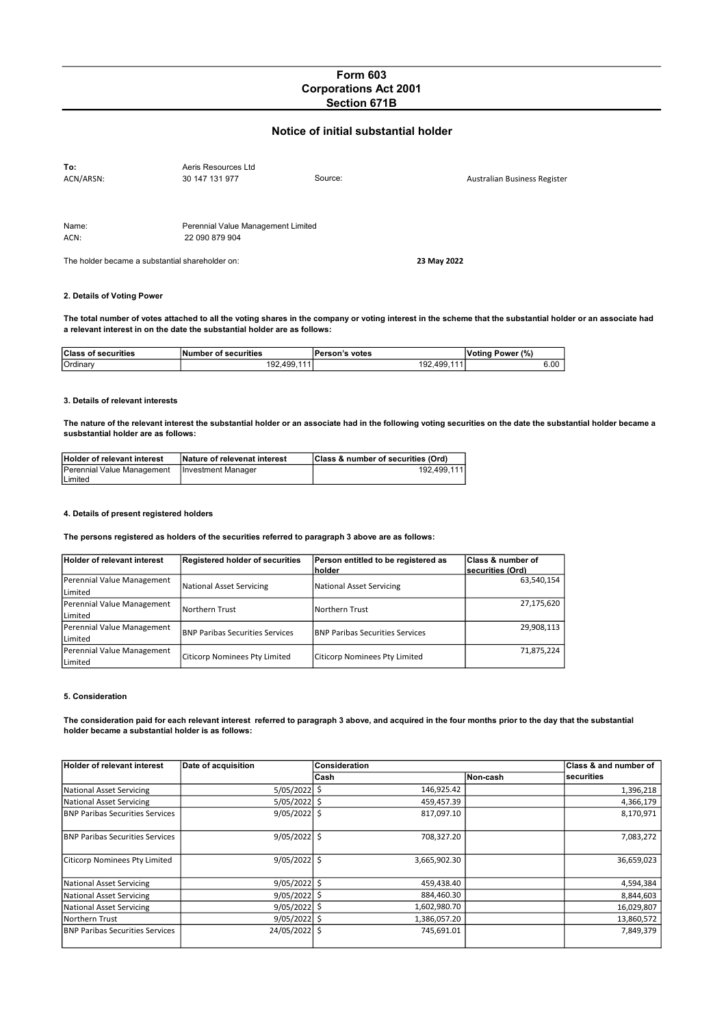# Form 603 Corporations Act 2001 Section 671B

## Notice of initial substantial holder

| To:                                             | Aeris Resources Ltd                |         |                              |
|-------------------------------------------------|------------------------------------|---------|------------------------------|
| ACN/ARSN:                                       | 30 147 131 977                     | Source: | Australian Business Register |
|                                                 |                                    |         |                              |
| Name:                                           | Perennial Value Management Limited |         |                              |
| ACN:                                            | 22 090 879 904                     |         |                              |
| The holder became a substantial shareholder on: |                                    |         | 23 May 2022                  |

# 2. Details of Voting Power

The total number of votes attached to all the voting shares in the company or voting interest in the scheme that the substantial holder or an associate had a relevant interest in on the date the substantial holder are as follows:

| <b>Class of securities</b> | Number of securities | Person's votes | Power (%)<br>'Votina |
|----------------------------|----------------------|----------------|----------------------|
| Ordinary                   | 192.499.             | 192.499        | 6.00                 |

#### 3. Details of relevant interests

The nature of the relevant interest the substantial holder or an associate had in the following voting securities on the date the substantial holder became a susbstantial holder are as follows:

| Holder of relevant interest                     | Nature of relevenat interest | Class & number of securities (Ord) |
|-------------------------------------------------|------------------------------|------------------------------------|
| Perennial Value Management   Investment Manager |                              | 192.499.111                        |
| Limited                                         |                              |                                    |

### 4. Details of present registered holders

The persons registered as holders of the securities referred to paragraph 3 above are as follows:

| Holder of relevant interest | Registered holder of securities        | Person entitled to be registered as    | <b>Class &amp; number of</b> |
|-----------------------------|----------------------------------------|----------------------------------------|------------------------------|
|                             |                                        | <b>Inolder</b>                         | lsecurities (Ord)            |
| Perennial Value Management  | National Asset Servicing               | National Asset Servicing               | 63.540.154                   |
| Limited                     |                                        |                                        |                              |
| Perennial Value Management  | lNorthern Trust                        | Northern Trust                         | 27,175,620                   |
| Limited                     |                                        |                                        |                              |
| Perennial Value Management  | <b>BNP Paribas Securities Services</b> | <b>BNP Paribas Securities Services</b> | 29,908,113                   |
| Limited                     |                                        |                                        |                              |
| Perennial Value Management  |                                        |                                        | 71,875,224                   |
| Limited                     | Citicorp Nominees Pty Limited          | Citicorp Nominees Pty Limited          |                              |

#### 5. Consideration

The consideration paid for each relevant interest referred to paragraph 3 above, and acquired in the four months prior to the day that the substantial holder became a substantial holder is as follows:

| <b>Holder of relevant interest</b>      | Date of acquisition | Consideration |          | <b>Class &amp; and number of</b> |
|-----------------------------------------|---------------------|---------------|----------|----------------------------------|
|                                         |                     | Cash          | Non-cash | <b>Isecurities</b>               |
| <b>National Asset Servicing</b>         | $5/05/2022$ \$      | 146,925.42    |          | 1,396,218                        |
| <b>National Asset Servicing</b>         | $5/05/2022$ \$      | 459,457.39    |          | 4,366,179                        |
| <b>BNP Paribas Securities Services</b>  | $9/05/2022$ \$      | 817,097.10    |          | 8,170,971                        |
| <b>IBNP Paribas Securities Services</b> | $9/05/2022$ \$      | 708,327.20    |          | 7,083,272                        |
| <b>Citicorp Nominees Pty Limited</b>    | $9/05/2022$ \$      | 3,665,902.30  |          | 36,659,023                       |
| <b>National Asset Servicing</b>         | $9/05/2022$ \$      | 459,438.40    |          | 4,594,384                        |
| <b>National Asset Servicing</b>         | $9/05/2022$ \$      | 884,460.30    |          | 8,844,603                        |
| <b>National Asset Servicing</b>         | $9/05/2022$ \$      | 1,602,980.70  |          | 16,029,807                       |
| Northern Trust                          | $9/05/2022$ \$      | 1,386,057.20  |          | 13,860,572                       |
| <b>IBNP Paribas Securities Services</b> | 24/05/2022 \$       | 745,691.01    |          | 7,849,379                        |